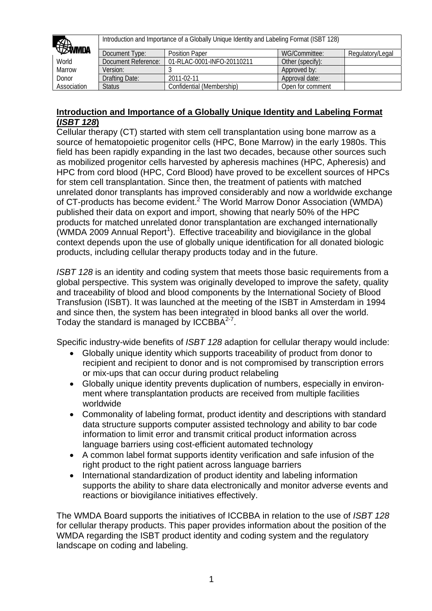| <b>Bumda</b> |                     | Introduction and Importance of a Globally Unique Identity and Labeling Format (ISBT 128) |                  |                  |
|--------------|---------------------|------------------------------------------------------------------------------------------|------------------|------------------|
|              | Document Type:      | <b>Position Paper</b>                                                                    | WG/Committee:    | Regulatory/Legal |
| World        | Document Reference: | 01-RLAC-0001-INFO-20110211                                                               | Other (specify): |                  |
| Marrow       | Version:            |                                                                                          | Approved by:     |                  |
| Donor        | Drafting Date:      | 2011-02-11                                                                               | Approval date:   |                  |
| Association  | <b>Status</b>       | Confidential (Membership)                                                                | Open for comment |                  |

#### **Introduction and Importance of a Globally Unique Identity and Labeling Format (***ISBT 128***)**

Cellular therapy (CT) started with stem cell transplantation using bone marrow as a source of hematopoietic progenitor cells (HPC, Bone Marrow) in the early 1980s. This field has been rapidly expanding in the last two decades, because other sources such as mobilized progenitor cells harvested by apheresis machines (HPC, Apheresis) and HPC from cord blood (HPC, Cord Blood) have proved to be excellent sources of HPCs for stem cell transplantation. Since then, the treatment of patients with matched unrelated donor transplants has improved considerably and now a worldwide exchange of CT-products has become evident.<sup>2</sup> The World Marrow Donor Association (WMDA) published their data on export and import, showing that nearly 50% of the HPC products for matched unrelated donor transplantation are exchanged internationally  $(WMDA 2009$  Annual Report<sup>1</sup>). Effective traceability and biovigilance in the global context depends upon the use of globally unique identification for all donated biologic products, including cellular therapy products today and in the future.

*ISBT 128* is an identity and coding system that meets those basic requirements from a global perspective. This system was originally developed to improve the safety, quality and traceability of blood and blood components by the International Society of Blood Transfusion (ISBT). It was launched at the meeting of the ISBT in Amsterdam in 1994 and since then, the system has been integrated in blood banks all over the world. Today the standard is managed by ICCBBA $2^2$ .

Specific industry-wide benefits of *ISBT 128* adaption for cellular therapy would include:

- Globally unique identity which supports traceability of product from donor to recipient and recipient to donor and is not compromised by transcription errors or mix-ups that can occur during product relabeling
- Globally unique identity prevents duplication of numbers, especially in environment where transplantation products are received from multiple facilities worldwide
- Commonality of labeling format, product identity and descriptions with standard data structure supports computer assisted technology and ability to bar code information to limit error and transmit critical product information across language barriers using cost-efficient automated technology
- A common label format supports identity verification and safe infusion of the right product to the right patient across language barriers
- International standardization of product identity and labeling information supports the ability to share data electronically and monitor adverse events and reactions or biovigilance initiatives effectively.

The WMDA Board supports the initiatives of ICCBBA in relation to the use of *ISBT 128* for cellular therapy products. This paper provides information about the position of the WMDA regarding the ISBT product identity and coding system and the regulatory landscape on coding and labeling.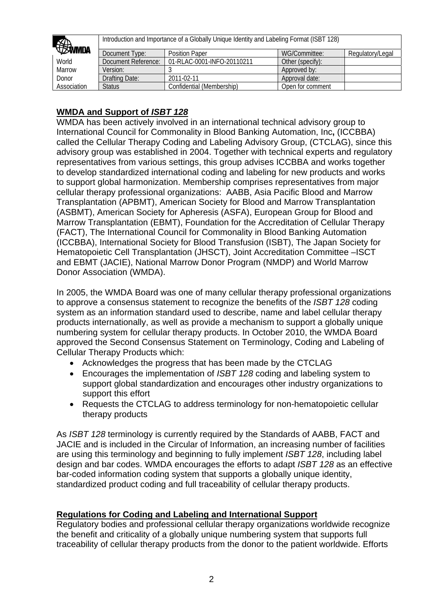| <b>Bumda</b> |                     | Introduction and Importance of a Globally Unique Identity and Labeling Format (ISBT 128) |                  |                  |
|--------------|---------------------|------------------------------------------------------------------------------------------|------------------|------------------|
|              | Document Type:      | <b>Position Paper</b>                                                                    | WG/Committee:    | Regulatory/Legal |
| World        | Document Reference: | 01-RLAC-0001-INFO-20110211                                                               | Other (specify): |                  |
| Marrow       | Version:            |                                                                                          | Approved by:     |                  |
| Donor        | Drafting Date:      | 2011-02-11                                                                               | Approval date:   |                  |
| Association  | <b>Status</b>       | Confidential (Membership)                                                                | Open for comment |                  |

# **WMDA and Support of** *ISBT 128*

WMDA has been actively involved in an international technical advisory group to International Council for Commonality in Blood Banking Automation, Inc**,** (ICCBBA) called the Cellular Therapy Coding and Labeling Advisory Group, (CTCLAG), since this advisory group was established in 2004. Together with technical experts and regulatory representatives from various settings, this group advises ICCBBA and works together to develop standardized international coding and labeling for new products and works to support global harmonization. Membership comprises representatives from major cellular therapy professional organizations: AABB, Asia Pacific Blood and Marrow Transplantation (APBMT), American Society for Blood and Marrow Transplantation (ASBMT), American Society for Apheresis (ASFA), European Group for Blood and Marrow Transplantation (EBMT), Foundation for the Accreditation of Cellular Therapy (FACT), The International Council for Commonality in Blood Banking Automation (ICCBBA), International Society for Blood Transfusion (ISBT), The Japan Society for Hematopoietic Cell Transplantation (JHSCT), Joint Accreditation Committee –ISCT and EBMT (JACIE), National Marrow Donor Program (NMDP) and World Marrow Donor Association (WMDA).

In 2005, the WMDA Board was one of many cellular therapy professional organizations to approve a consensus statement to recognize the benefits of the *ISBT 128* coding system as an information standard used to describe, name and label cellular therapy products internationally, as well as provide a mechanism to support a globally unique numbering system for cellular therapy products. In October 2010, the WMDA Board approved the Second Consensus Statement on Terminology, Coding and Labeling of Cellular Therapy Products which:

- Acknowledges the progress that has been made by the CTCLAG
- Encourages the implementation of *ISBT 128* coding and labeling system to support global standardization and encourages other industry organizations to support this effort
- Requests the CTCLAG to address terminology for non-hematopoietic cellular therapy products

As *ISBT 128* terminology is currently required by the Standards of AABB, FACT and JACIE and is included in the Circular of Information, an increasing number of facilities are using this terminology and beginning to fully implement *ISBT 128*, including label design and bar codes. WMDA encourages the efforts to adapt *ISBT 128* as an effective bar-coded information coding system that supports a globally unique identity, standardized product coding and full traceability of cellular therapy products.

# **Regulations for Coding and Labeling and International Support**

Regulatory bodies and professional cellular therapy organizations worldwide recognize the benefit and criticality of a globally unique numbering system that supports full traceability of cellular therapy products from the donor to the patient worldwide. Efforts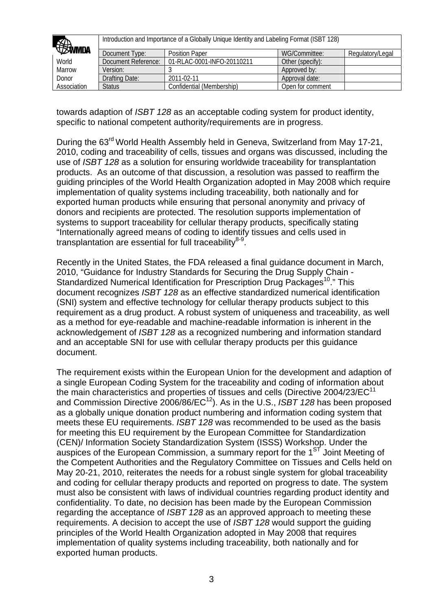| <b><i>SSMMDA</i></b> |                     | Introduction and Importance of a Globally Unique Identity and Labeling Format (ISBT 128) |                  |                  |
|----------------------|---------------------|------------------------------------------------------------------------------------------|------------------|------------------|
|                      | Document Type:      | <b>Position Paper</b>                                                                    | WG/Committee:    | Regulatory/Legal |
| World                | Document Reference: | 01-RLAC-0001-INFO-20110211                                                               | Other (specify): |                  |
| Marrow               | Version:            |                                                                                          | Approved by:     |                  |
| Donor                | Drafting Date:      | 2011-02-11                                                                               | Approval date:   |                  |
| Association          | <b>Status</b>       | Confidential (Membership)                                                                | Open for comment |                  |

towards adaption of *ISBT 128* as an acceptable coding system for product identity, specific to national competent authority/requirements are in progress.

During the 63<sup>rd</sup> World Health Assembly held in Geneva, Switzerland from May 17-21, 2010, coding and traceability of cells, tissues and organs was discussed, including the use of *ISBT 128* as a solution for ensuring worldwide traceability for transplantation products. As an outcome of that discussion, a resolution was passed to reaffirm the guiding principles of the World Health Organization adopted in May 2008 which require implementation of quality systems including traceability, both nationally and for exported human products while ensuring that personal anonymity and privacy of donors and recipients are protected. The resolution supports implementation of systems to support traceability for cellular therapy products, specifically stating "Internationally agreed means of coding to identify tissues and cells used in transplantation are essential for full traceability $8-9$ .

Recently in the United States, the FDA released a final guidance document in March, 2010, "Guidance for Industry Standards for Securing the Drug Supply Chain - Standardized Numerical Identification for Prescription Drug Packages<sup>10</sup>." This document recognizes *ISBT 128* as an effective standardized numerical identification (SNI) system and effective technology for cellular therapy products subject to this requirement as a drug product. A robust system of uniqueness and traceability, as well as a method for eye-readable and machine-readable information is inherent in the acknowledgement of *ISBT 128* as a recognized numbering and information standard and an acceptable SNI for use with cellular therapy products per this guidance document.

The requirement exists within the European Union for the development and adaption of a single European Coding System for the traceability and coding of information about the main characteristics and properties of tissues and cells (Directive 2004/23/EC $^{11}$ ) and Commission Directive 2006/86/EC<sup>12</sup>). As in the U.S., *ISBT 128* has been proposed as a globally unique donation product numbering and information coding system that meets these EU requirements. *ISBT 128* was recommended to be used as the basis for meeting this EU requirement by the European Committee for Standardization (CEN)/ Information Society Standardization System (ISSS) Workshop. Under the auspices of the European Commission, a summary report for the  $1<sup>ST</sup>$  Joint Meeting of the Competent Authorities and the Regulatory Committee on Tissues and Cells held on May 20-21, 2010, reiterates the needs for a robust single system for global traceability and coding for cellular therapy products and reported on progress to date. The system must also be consistent with laws of individual countries regarding product identity and confidentiality. To date, no decision has been made by the European Commission regarding the acceptance of *ISBT 128* as an approved approach to meeting these requirements. A decision to accept the use of *ISBT 128* would support the guiding principles of the World Health Organization adopted in May 2008 that requires implementation of quality systems including traceability, both nationally and for exported human products.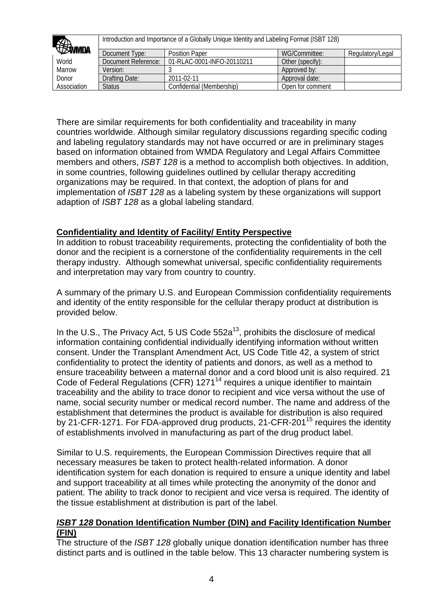| <b>Bumda</b> |                     | Introduction and Importance of a Globally Unique Identity and Labeling Format (ISBT 128) |                  |                  |
|--------------|---------------------|------------------------------------------------------------------------------------------|------------------|------------------|
|              | Document Type:      | <b>Position Paper</b>                                                                    | WG/Committee:    | Regulatory/Legal |
| World        | Document Reference: | 01-RLAC-0001-INFO-20110211                                                               | Other (specify): |                  |
| Marrow       | Version:            |                                                                                          | Approved by:     |                  |
| Donor        | Drafting Date:      | 2011-02-11                                                                               | Approval date:   |                  |
| Association  | <b>Status</b>       | Confidential (Membership)                                                                | Open for comment |                  |

There are similar requirements for both confidentiality and traceability in many countries worldwide. Although similar regulatory discussions regarding specific coding and labeling regulatory standards may not have occurred or are in preliminary stages based on information obtained from WMDA Regulatory and Legal Affairs Committee members and others, *ISBT 128* is a method to accomplish both objectives. In addition, in some countries, following guidelines outlined by cellular therapy accrediting organizations may be required. In that context, the adoption of plans for and implementation of *ISBT 128* as a labeling system by these organizations will support adaption of *ISBT 128* as a global labeling standard.

## **Confidentiality and Identity of Facility/ Entity Perspective**

In addition to robust traceability requirements, protecting the confidentiality of both the donor and the recipient is a cornerstone of the confidentiality requirements in the cell therapy industry. Although somewhat universal, specific confidentiality requirements and interpretation may vary from country to country.

A summary of the primary U.S. and European Commission confidentiality requirements and identity of the entity responsible for the cellular therapy product at distribution is provided below.

In the U.S., The Privacy Act, 5 US Code  $552a^{13}$ , prohibits the disclosure of medical information containing confidential individually identifying information without written consent. Under the Transplant Amendment Act, US Code Title 42, a system of strict confidentiality to protect the identity of patients and donors, as well as a method to ensure traceability between a maternal donor and a cord blood unit is also required. 21 Code of Federal Regulations (CFR)  $1271^{14}$  reguires a unique identifier to maintain traceability and the ability to trace donor to recipient and vice versa without the use of name, social security number or medical record number. The name and address of the establishment that determines the product is available for distribution is also required by 21-CFR-1271. For FDA-approved drug products, 21-CFR-201<sup>15</sup> requires the identity of establishments involved in manufacturing as part of the drug product label.

Similar to U.S. requirements, the European Commission Directives require that all necessary measures be taken to protect health-related information. A donor identification system for each donation is required to ensure a unique identity and label and support traceability at all times while protecting the anonymity of the donor and patient. The ability to track donor to recipient and vice versa is required. The identity of the tissue establishment at distribution is part of the label.

#### *ISBT 128* **Donation Identification Number (DIN) and Facility Identification Number (FIN)**

The structure of the *ISBT 128* globally unique donation identification number has three distinct parts and is outlined in the table below. This 13 character numbering system is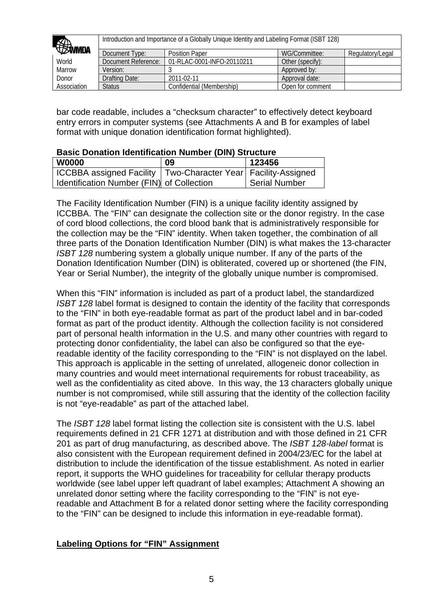| <b><i>SIMMDA</i></b> |                     | Introduction and Importance of a Globally Unique Identity and Labeling Format (ISBT 128) |                  |                  |
|----------------------|---------------------|------------------------------------------------------------------------------------------|------------------|------------------|
|                      | Document Type:      | <b>Position Paper</b>                                                                    | WG/Committee:    | Regulatory/Legal |
| World                | Document Reference: | 01-RLAC-0001-INFO-20110211                                                               | Other (specify): |                  |
| Marrow               | Version:            |                                                                                          | Approved by:     |                  |
| Donor                | Drafting Date:      | 2011-02-11                                                                               | Approval date:   |                  |
| Association          | <b>Status</b>       | Confidential (Membership)                                                                | Open for comment |                  |

bar code readable, includes a "checksum character" to effectively detect keyboard entry errors in computer systems (see Attachments A and B for examples of label format with unique donation identification format highlighted).

#### **Basic Donation Identification Number (DIN) Structure**

| <b>W0000</b>                                                      | 09 | 123456               |
|-------------------------------------------------------------------|----|----------------------|
| ICCBBA assigned Facility   Two-Character Year   Facility-Assigned |    |                      |
| Identification Number (FIN) of Collection                         |    | <b>Serial Number</b> |

The Facility Identification Number (FIN) is a unique facility identity assigned by ICCBBA. The "FIN" can designate the collection site or the donor registry. In the case of cord blood collections, the cord blood bank that is administratively responsible for the collection may be the "FIN" identity. When taken together, the combination of all three parts of the Donation Identification Number (DIN) is what makes the 13-character *ISBT 128* numbering system a globally unique number. If any of the parts of the Donation Identification Number (DIN) is obliterated, covered up or shortened (the FIN, Year or Serial Number), the integrity of the globally unique number is compromised.

When this "FIN" information is included as part of a product label, the standardized *ISBT 128* label format is designed to contain the identity of the facility that corresponds to the "FIN" in both eye-readable format as part of the product label and in bar-coded format as part of the product identity. Although the collection facility is not considered part of personal health information in the U.S. and many other countries with regard to protecting donor confidentiality, the label can also be configured so that the eyereadable identity of the facility corresponding to the "FIN" is not displayed on the label. This approach is applicable in the setting of unrelated, allogeneic donor collection in many countries and would meet international requirements for robust traceability, as well as the confidentiality as cited above. In this way, the 13 characters globally unique number is not compromised, while still assuring that the identity of the collection facility is not "eye-readable" as part of the attached label.

The *ISBT 128* label format listing the collection site is consistent with the U.S. label requirements defined in 21 CFR 1271 at distribution and with those defined in 21 CFR 201 as part of drug manufacturing, as described above. The *ISBT 128-label* format is also consistent with the European requirement defined in 2004/23/EC for the label at distribution to include the identification of the tissue establishment. As noted in earlier report, it supports the WHO guidelines for traceability for cellular therapy products worldwide (see label upper left quadrant of label examples; Attachment A showing an unrelated donor setting where the facility corresponding to the "FIN" is not eyereadable and Attachment B for a related donor setting where the facility corresponding to the "FIN" can be designed to include this information in eye-readable format).

# **Labeling Options for "FIN" Assignment**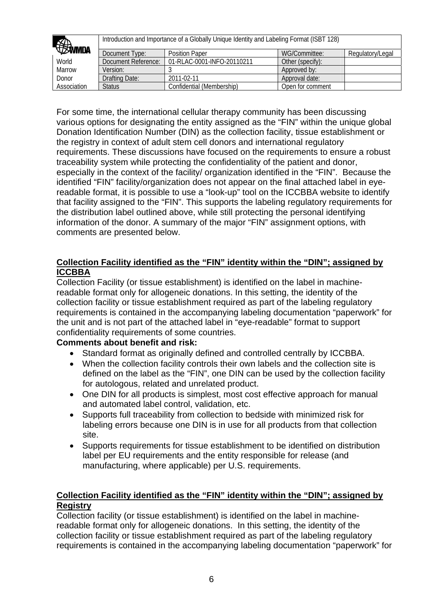| <b>EXWMDA</b> |                     | Introduction and Importance of a Globally Unique Identity and Labeling Format (ISBT 128) |                  |                  |
|---------------|---------------------|------------------------------------------------------------------------------------------|------------------|------------------|
|               | Document Type:      | <b>Position Paper</b>                                                                    | WG/Committee:    | Regulatory/Legal |
| World         | Document Reference: | 01-RLAC-0001-INFO-20110211                                                               | Other (specify): |                  |
| Marrow        | Version:            |                                                                                          | Approved by:     |                  |
| Donor         | Drafting Date:      | 2011-02-11                                                                               | Approval date:   |                  |
| Association   | <b>Status</b>       | Confidential (Membership)                                                                | Open for comment |                  |

For some time, the international cellular therapy community has been discussing various options for designating the entity assigned as the "FIN" within the unique global Donation Identification Number (DIN) as the collection facility, tissue establishment or the registry in context of adult stem cell donors and international regulatory requirements. These discussions have focused on the requirements to ensure a robust traceability system while protecting the confidentiality of the patient and donor, especially in the context of the facility/ organization identified in the "FIN". Because the identified "FIN" facility/organization does not appear on the final attached label in eyereadable format, it is possible to use a "look-up" tool on the ICCBBA website to identify that facility assigned to the "FIN". This supports the labeling regulatory requirements for the distribution label outlined above, while still protecting the personal identifying information of the donor. A summary of the major "FIN" assignment options, with comments are presented below.

## **Collection Facility identified as the "FIN" identity within the "DIN"; assigned by ICCBBA**

Collection Facility (or tissue establishment) is identified on the label in machinereadable format only for allogeneic donations. In this setting, the identity of the collection facility or tissue establishment required as part of the labeling regulatory requirements is contained in the accompanying labeling documentation "paperwork" for the unit and is not part of the attached label in "eye-readable" format to support confidentiality requirements of some countries.

# **Comments about benefit and risk:**

- Standard format as originally defined and controlled centrally by ICCBBA.
- When the collection facility controls their own labels and the collection site is defined on the label as the "FIN", one DIN can be used by the collection facility for autologous, related and unrelated product.
- One DIN for all products is simplest, most cost effective approach for manual and automated label control, validation, etc.
- Supports full traceability from collection to bedside with minimized risk for labeling errors because one DIN is in use for all products from that collection site.
- Supports requirements for tissue establishment to be identified on distribution label per EU requirements and the entity responsible for release (and manufacturing, where applicable) per U.S. requirements.

## **Collection Facility identified as the "FIN" identity within the "DIN"; assigned by Registry**

Collection facility (or tissue establishment) is identified on the label in machinereadable format only for allogeneic donations. In this setting, the identity of the collection facility or tissue establishment required as part of the labeling regulatory requirements is contained in the accompanying labeling documentation "paperwork" for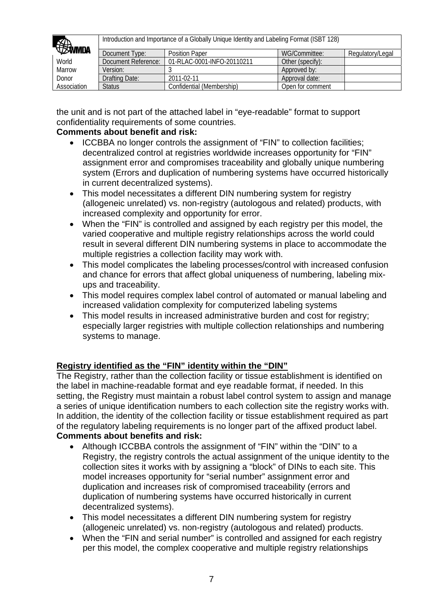| <b>EDWMDA</b> |                     | Introduction and Importance of a Globally Unique Identity and Labeling Format (ISBT 128) |                  |                  |
|---------------|---------------------|------------------------------------------------------------------------------------------|------------------|------------------|
|               | Document Type:      | <b>Position Paper</b>                                                                    | WG/Committee:    | Regulatory/Legal |
| World         | Document Reference: | 01-RLAC-0001-INFO-20110211                                                               | Other (specify): |                  |
| Marrow        | Version:            |                                                                                          | Approved by:     |                  |
| Donor         | Drafting Date:      | 2011-02-11                                                                               | Approval date:   |                  |
| Association   | <b>Status</b>       | Confidential (Membership)                                                                | Open for comment |                  |

the unit and is not part of the attached label in "eye-readable" format to support confidentiality requirements of some countries.

# **Comments about benefit and risk:**

- ICCBBA no longer controls the assignment of "FIN" to collection facilities; decentralized control at registries worldwide increases opportunity for "FIN" assignment error and compromises traceability and globally unique numbering system (Errors and duplication of numbering systems have occurred historically in current decentralized systems).
- This model necessitates a different DIN numbering system for registry (allogeneic unrelated) vs. non-registry (autologous and related) products, with increased complexity and opportunity for error.
- When the "FIN" is controlled and assigned by each registry per this model, the varied cooperative and multiple registry relationships across the world could result in several different DIN numbering systems in place to accommodate the multiple registries a collection facility may work with.
- This model complicates the labeling processes/control with increased confusion and chance for errors that affect global uniqueness of numbering, labeling mixups and traceability.
- This model requires complex label control of automated or manual labeling and increased validation complexity for computerized labeling systems
- This model results in increased administrative burden and cost for registry: especially larger registries with multiple collection relationships and numbering systems to manage.

# **Registry identified as the "FIN" identity within the "DIN"**

The Registry, rather than the collection facility or tissue establishment is identified on the label in machine-readable format and eye readable format, if needed. In this setting, the Registry must maintain a robust label control system to assign and manage a series of unique identification numbers to each collection site the registry works with. In addition, the identity of the collection facility or tissue establishment required as part of the regulatory labeling requirements is no longer part of the affixed product label. **Comments about benefits and risk:**

- Although ICCBBA controls the assignment of "FIN" within the "DIN" to a Registry, the registry controls the actual assignment of the unique identity to the collection sites it works with by assigning a "block" of DINs to each site. This model increases opportunity for "serial number" assignment error and duplication and increases risk of compromised traceability (errors and duplication of numbering systems have occurred historically in current decentralized systems).
- This model necessitates a different DIN numbering system for registry (allogeneic unrelated) vs. non-registry (autologous and related) products.
- When the "FIN and serial number" is controlled and assigned for each registry per this model, the complex cooperative and multiple registry relationships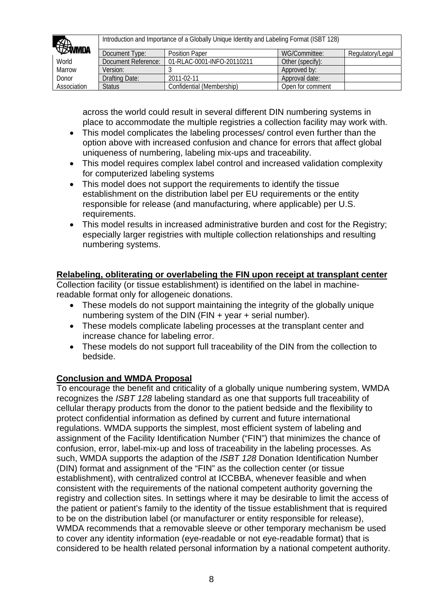| <b><i>SSIMMDA</i></b> |                     | Introduction and Importance of a Globally Unique Identity and Labeling Format (ISBT 128) |                  |                  |
|-----------------------|---------------------|------------------------------------------------------------------------------------------|------------------|------------------|
|                       | Document Type:      | <b>Position Paper</b>                                                                    | WG/Committee:    | Regulatory/Legal |
| World                 | Document Reference: | 01-RLAC-0001-INFO-20110211                                                               | Other (specify): |                  |
| Marrow                | Version:            |                                                                                          | Approved by:     |                  |
| Donor                 | Drafting Date:      | 2011-02-11                                                                               | Approval date:   |                  |
| Association           | <b>Status</b>       | Confidential (Membership)                                                                | Open for comment |                  |

across the world could result in several different DIN numbering systems in place to accommodate the multiple registries a collection facility may work with.

- This model complicates the labeling processes/ control even further than the option above with increased confusion and chance for errors that affect global uniqueness of numbering, labeling mix-ups and traceability.
- This model requires complex label control and increased validation complexity for computerized labeling systems
- This model does not support the requirements to identify the tissue establishment on the distribution label per EU requirements or the entity responsible for release (and manufacturing, where applicable) per U.S. requirements.
- This model results in increased administrative burden and cost for the Registry; especially larger registries with multiple collection relationships and resulting numbering systems.

## **Relabeling, obliterating or overlabeling the FIN upon receipt at transplant center**

Collection facility (or tissue establishment) is identified on the label in machinereadable format only for allogeneic donations.

- These models do not support maintaining the integrity of the globally unique numbering system of the DIN (FIN + year + serial number).
- These models complicate labeling processes at the transplant center and increase chance for labeling error.
- These models do not support full traceability of the DIN from the collection to bedside.

# **Conclusion and WMDA Proposal**

To encourage the benefit and criticality of a globally unique numbering system, WMDA recognizes the *ISBT 128* labeling standard as one that supports full traceability of cellular therapy products from the donor to the patient bedside and the flexibility to protect confidential information as defined by current and future international regulations. WMDA supports the simplest, most efficient system of labeling and assignment of the Facility Identification Number ("FIN") that minimizes the chance of confusion, error, label-mix-up and loss of traceability in the labeling processes. As such, WMDA supports the adaption of the *ISBT 128* Donation Identification Number (DIN) format and assignment of the "FIN" as the collection center (or tissue establishment), with centralized control at ICCBBA, whenever feasible and when consistent with the requirements of the national competent authority governing the registry and collection sites. In settings where it may be desirable to limit the access of the patient or patient's family to the identity of the tissue establishment that is required to be on the distribution label (or manufacturer or entity responsible for release), WMDA recommends that a removable sleeve or other temporary mechanism be used to cover any identity information (eye-readable or not eye-readable format) that is considered to be health related personal information by a national competent authority.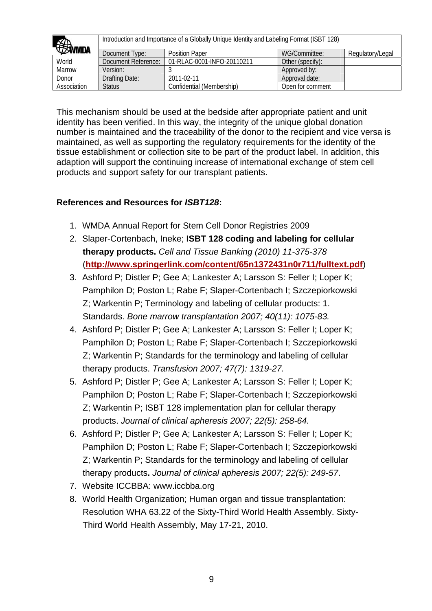| <b><i>SSINNIDA</i></b> | Introduction and Importance of a Globally Unique Identity and Labeling Format (ISBT 128) |                            |                  |                  |
|------------------------|------------------------------------------------------------------------------------------|----------------------------|------------------|------------------|
|                        | Document Type:                                                                           | <b>Position Paper</b>      | WG/Committee:    | Regulatory/Legal |
| World                  | Document Reference:                                                                      | 01-RLAC-0001-INFO-20110211 | Other (specify): |                  |
| Marrow                 | Version:                                                                                 |                            | Approved by:     |                  |
| Donor                  | Drafting Date:                                                                           | 2011-02-11                 | Approval date:   |                  |
| Association            | <b>Status</b>                                                                            | Confidential (Membership)  | Open for comment |                  |

This mechanism should be used at the bedside after appropriate patient and unit identity has been verified. In this way, the integrity of the unique global donation number is maintained and the traceability of the donor to the recipient and vice versa is maintained, as well as supporting the regulatory requirements for the identity of the tissue establishment or collection site to be part of the product label. In addition, this adaption will support the continuing increase of international exchange of stem cell products and support safety for our transplant patients.

# **References and Resources for** *ISBT128***:**

- 1. WMDA Annual Report for Stem Cell Donor Registries 2009
- 2. Slaper-Cortenbach, Ineke; **ISBT 128 coding and labeling for cellular therapy products.** *Cell and Tissue Banking (2010) 11-375-378* (**<http://www.springerlink.com/content/65n1372431n0r711/fulltext.pdf>**)
- 3. Ashford P; Distler P; Gee A; Lankester A; Larsson S: Feller I; Loper K; Pamphilon D; Poston L; Rabe F; Slaper-Cortenbach I; Szczepiorkowski Z; Warkentin P; Terminology and labeling of cellular products: 1. Standards. *Bone marrow transplantation 2007; 40(11): 1075-83.*
- 4. Ashford P; Distler P; Gee A; Lankester A; Larsson S: Feller I; Loper K; Pamphilon D; Poston L; Rabe F; Slaper-Cortenbach I; Szczepiorkowski Z; Warkentin P; Standards for the terminology and labeling of cellular therapy products. *Transfusion 2007; 47(7): 1319-27.*
- 5. Ashford P; Distler P; Gee A; Lankester A; Larsson S: Feller I; Loper K; Pamphilon D; Poston L; Rabe F; Slaper-Cortenbach I; Szczepiorkowski Z; Warkentin P; ISBT 128 implementation plan for cellular therapy products. *Journal of clinical apheresis 2007; 22(5): 258-64*.
- 6. Ashford P; Distler P; Gee A; Lankester A; Larsson S: Feller I; Loper K; Pamphilon D; Poston L; Rabe F; Slaper-Cortenbach I; Szczepiorkowski Z; Warkentin P; Standards for the terminology and labeling of cellular therapy products**.** *Journal of clinical apheresis 2007; 22(5): 249-57*.
- 7. Website ICCBBA: www.iccbba.org
- 8. World Health Organization; Human organ and tissue transplantation: Resolution WHA 63.22 of the Sixty-Third World Health Assembly. Sixty-Third World Health Assembly, May 17-21, 2010.